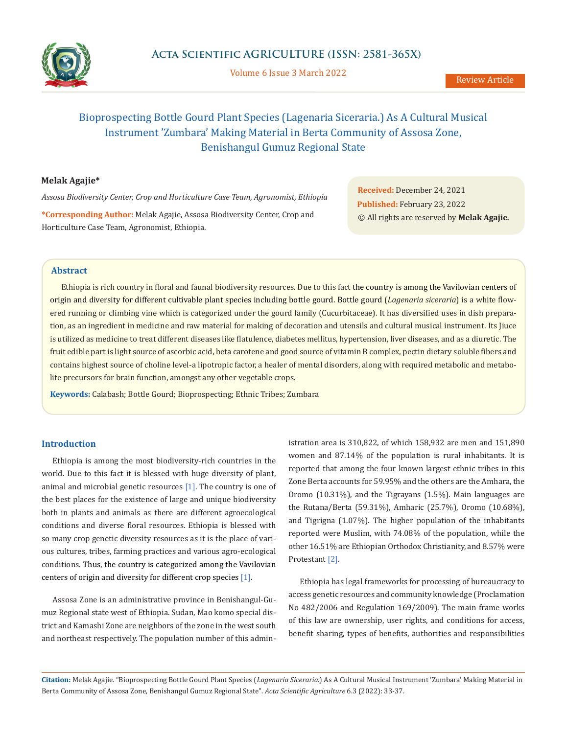

Volume 6 Issue 3 March 2022

# Bioprospecting Bottle Gourd Plant Species (Lagenaria Siceraria.) As A Cultural Musical Instrument 'Zumbara' Making Material in Berta Community of Assosa Zone, Benishangul Gumuz Regional State

## **Melak Agajie\***

*Assosa Biodiversity Center, Crop and Horticulture Case Team, Agronomist, Ethiopia*

**\*Corresponding Author:** Melak Agajie, Assosa Biodiversity Center, Crop and Horticulture Case Team, Agronomist, Ethiopia.

**Received:** December 24, 2021 **Published:** February 23, 2022 © All rights are reserved by **Melak Agajie***.*

# **Abstract**

Ethiopia is rich country in floral and faunal biodiversity resources. Due to this fact the country is among the Vavilovian centers of origin and diversity for different cultivable plant species including bottle gourd. Bottle gourd (*Lagenaria siceraria*) is a white flowered running or climbing [vine](https://www.britannica.com/plant/vine-plant) which is categorized under the gourd family [\(Cucurbitaceae](https://www.britannica.com/plant/Cucurbitaceae)). It has diversified uses in dish preparation, as an ingredient in medicine and raw material for making of decoration and utensils and cultural musical instrument. Its Jiuce is utilized as medicine to treat different diseases like flatulence, diabetes mellitus, hypertension, liver diseases, and as a diuretic. The fruit edible part is light source of ascorbic acid, beta carotene and good source of vitamin B complex, pectin dietary soluble fibers and contains highest source of choline level-a lipotropic factor, a healer of mental disorders, along with required metabolic and metabolite precursors for brain function, amongst any other vegetable crops.

**Keywords:** Calabash; Bottle Gourd; Bioprospecting; Ethnic Tribes; Zumbara

## **Introduction**

Ethiopia is among the most biodiversity-rich countries in the world. Due to this fact it is blessed with huge diversity of plant, animal and microbial genetic resources [1]. The country is one of the best places for the existence of large and unique biodiversity both in plants and animals as there are different agroecological conditions and diverse floral resources. Ethiopia is blessed with so many crop genetic diversity resources as it is the place of various cultures, tribes, farming practices and various agro-ecological conditions. Thus, the country is categorized among the Vavilovian centers of origin and diversity for different crop species [1].

Assosa Zone is an administrative province in Benishangul-Gumuz Regional state west of Ethiopia. Sudan, Mao komo special district and Kamashi Zone are neighbors of the zone in the west south and northeast respectively. The population number of this administration area is 310,822, of which 158,932 are men and 151,890 women and 87.14% of the population is rural inhabitants. It is reported that among the four known largest ethnic tribes in this Zone Berta accounts for 59.95% and the others are the Amhara, the Oromo (10.31%), and the Tigrayans (1.5%). Main languages are the Rutana/Berta (59.31%), Amharic (25.7%), Oromo (10.68%), and Tigrigna (1.07%). The higher population of the inhabitants reported were Muslim, with 74.08% of the population, while the other 16.51% are Ethiopian Orthodox Christianity, and 8.57% were Protestant [2].

Ethiopia has legal frameworks for processing of bureaucracy to access genetic resources and community knowledge (Proclamation No 482/2006 and Regulation 169/2009). The main frame works of this law are ownership, user rights, and conditions for access, benefit sharing, types of benefits, authorities and responsibilities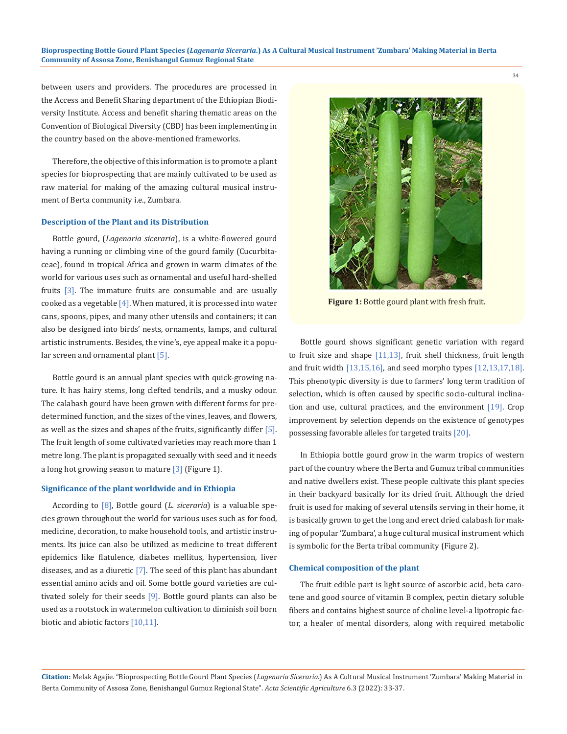between users and providers. The procedures are processed in the Access and Benefit Sharing department of the Ethiopian Biodiversity Institute. Access and benefit sharing thematic areas on the Convention of Biological Diversity (CBD) has been implementing in the country based on the above-mentioned frameworks.

Therefore, the objective of this information is to promote a plant species for bioprospecting that are mainly cultivated to be used as raw material for making of the amazing cultural musical instrument of Berta community i.e., Zumbara.

#### **Description of the Plant and its Distribution**

Bottle gourd, (*Lagenaria siceraria*), is a white-flowered gourd having a running or climbing [vine](https://www.britannica.com/plant/vine-plant) of the gourd family [\(Cucurbita](https://www.britannica.com/plant/Cucurbitaceae)[ceae\)](https://www.britannica.com/plant/Cucurbitaceae), found in tropical Africa and [grown](https://www.merriam-webster.com/dictionary/cultivated) in warm climates of the world for various uses such as ornamental and useful hard-shelled fruits [3]. The immature fruits are consumable and are usually cooked as a [vegetable](https://www.britannica.com/topic/vegetable)  $[4]$ . When matured, it is processed into water cans, spoons, pipes, and many other utensils and containers; it can also be designed into birds' nests, ornaments, lamps, and cultural artistic instruments. Besides, the vine's, eye appeal make it a popular screen and ornamental [plant](https://www.britannica.com/plant/plant) [5].

Bottle [gourd](https://www.britannica.com/plant/gourd) is an annual plant species with quick-growing [na](https://www.britannica.com/science/annual)[ture.](https://www.britannica.com/science/annual) It has hairy stems, long clefted [tendrils,](https://www.britannica.com/science/tendril) and a musky odour. The calabash gourd have been grown with different forms for predetermined function, and the sizes of the vines, [leaves](https://www.britannica.com/science/leaf-plant-anatomy), and flowers, as well as the sizes and shapes of the [fruits](https://www.britannica.com/science/fruit-plant-reproductive-body), significantly differ [5]. The fruit length of some cultivated varieties may reach more than 1 metre long. The plant is propagated sexually with seed and it needs a long hot [growing season](https://www.britannica.com/topic/growing-season) to mature  $\left[3\right]$  (Figure 1).

#### **Significance of the plant worldwide and in Ethiopia**

According to [8], Bottle gourd (*L. siceraria*) is a valuable species grown throughout the world for various uses such as for food, medicine, decoration, to make household tools, and artistic instruments. Its juice can also be utilized as medicine to treat different epidemics like flatulence, diabetes mellitus, hypertension, liver diseases, and as a diuretic  $[7]$ . The seed of this plant has abundant essential amino acids and oil. Some bottle gourd varieties are cultivated solely for their seeds [9]. Bottle gourd plants can also be used as a rootstock in watermelon cultivation to diminish soil born biotic and abiotic factors [10,11].



**Figure 1:** Bottle gourd plant with fresh fruit.

Bottle gourd shows significant genetic variation with regard to fruit size and shape [11,13], fruit shell thickness, fruit length and fruit width [13,15,16], and seed morpho types [12,13,17,18]. This phenotypic diversity is due to farmers' long term tradition of selection, which is often caused by specific socio-cultural inclination and use, cultural practices, and the environment [19]. Crop improvement by selection depends on the existence of genotypes possessing favorable alleles for targeted traits [20].

In Ethiopia bottle gourd grow in the warm tropics of western part of the country where the Berta and Gumuz tribal communities and native dwellers exist. These people cultivate this plant species in their backyard basically for its dried fruit. Although the dried fruit is used for making of several utensils serving in their home, it is basically grown to get the long and erect dried calabash for making of popular 'Zumbara', a huge cultural musical instrument which is symbolic for the Berta tribal community (Figure 2).

#### **Chemical composition of the plant**

The fruit edible part is light source of ascorbic acid, beta carotene and good source of vitamin B complex, pectin dietary soluble fibers and contains highest source of choline level-a lipotropic factor, a healer of mental disorders, along with required metabolic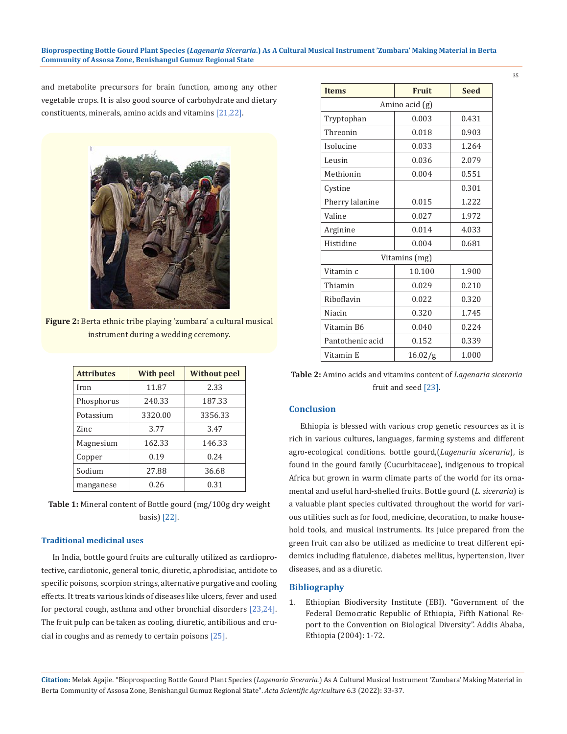#### **Bioprospecting Bottle Gourd Plant Species (***Lagenaria Siceraria***.) As A Cultural Musical Instrument 'Zumbara' Making Material in Berta Community of Assosa Zone, Benishangul Gumuz Regional State**

35

and metabolite precursors for brain function, among any other vegetable crops. It is also good source of carbohydrate and dietary constituents, minerals, amino acids and vitamins [21,22].



**Figure 2:** Berta ethnic tribe playing 'zumbara' a cultural musical instrument during a wedding ceremony.

| <b>Attributes</b> | <b>With peel</b> | <b>Without peel</b> |  |
|-------------------|------------------|---------------------|--|
| Iron              | 11.87            | 2.33                |  |
| Phosphorus        | 240.33           | 187.33              |  |
| Potassium         | 3320.00          | 3356.33             |  |
| Zinc              | 3.77             | 3.47                |  |
| Magnesium         | 162.33           | 146.33              |  |
| Copper            | 0.19             | 0.24                |  |
| Sodium            | 27.88            | 36.68               |  |
| manganese         | 0.26             | 0.31                |  |

**Table 1:** Mineral content of Bottle gourd (mg/100g dry weight basis) [22].

## **Traditional medicinal uses**

In India, bottle gourd fruits are culturally utilized as cardioprotective, cardiotonic, general tonic, diuretic, aphrodisiac, antidote to specific poisons, scorpion strings, alternative purgative and cooling effects. It treats various kinds of diseases like ulcers, fever and used for pectoral cough, asthma and other bronchial disorders [23,24]. The fruit pulp can be taken as cooling, diuretic, antibilious and crucial in coughs and as remedy to certain poisons [25].

| <b>Items</b>     | Fruit   | <b>Seed</b> |  |
|------------------|---------|-------------|--|
| Amino acid (g)   |         |             |  |
| Tryptophan       | 0.003   | 0.431       |  |
| Threonin         | 0.018   | 0.903       |  |
| Isolucine        | 0.033   | 1.264       |  |
| Leusin           | 0.036   | 2.079       |  |
| Methionin        | 0.004   | 0.551       |  |
| Cystine          |         | 0.301       |  |
| Pherry lalanine  | 0.015   | 1.222       |  |
| Valine           | 0.027   | 1.972       |  |
| Arginine         | 0.014   | 4.033       |  |
| Histidine        | 0.004   | 0.681       |  |
| Vitamins (mg)    |         |             |  |
| Vitamin c        | 10.100  | 1.900       |  |
| Thiamin          | 0.029   | 0.210       |  |
| Riboflavin       | 0.022   | 0.320       |  |
| Niacin           | 0.320   | 1.745       |  |
| Vitamin B6       | 0.040   | 0.224       |  |
| Pantothenic acid | 0.152   | 0.339       |  |
| Vitamin E        | 16.02/g | 1.000       |  |

**Table 2:** Amino acids and vitamins content of *Lagenaria siceraria* fruit and seed [23].

## **Conclusion**

Ethiopia is blessed with various crop genetic resources as it is rich in various cultures, languages, farming systems and different agro-ecological conditions. bottle gourd,(*Lagenaria siceraria*), is found in the gourd family ([Cucurbitaceae](https://www.britannica.com/plant/Cucurbitaceae)), indigenous to tropical Africa but [grown](https://www.merriam-webster.com/dictionary/cultivated) in warm climate parts of the world for its ornamental and useful hard-shelled fruits. Bottle gourd (*L. siceraria*) is a valuable plant species cultivated throughout the world for various utilities such as for food, medicine, decoration, to make household tools, and musical instruments. Its juice prepared from the green fruit can also be utilized as medicine to treat different epidemics including flatulence, diabetes mellitus, hypertension, liver diseases, and as a diuretic.

#### **Bibliography**

1. Ethiopian Biodiversity Institute (EBI). "Government of the Federal Democratic Republic of Ethiopia, Fifth National Report to the Convention on Biological Diversity". Addis Ababa, Ethiopia (2004): 1-72.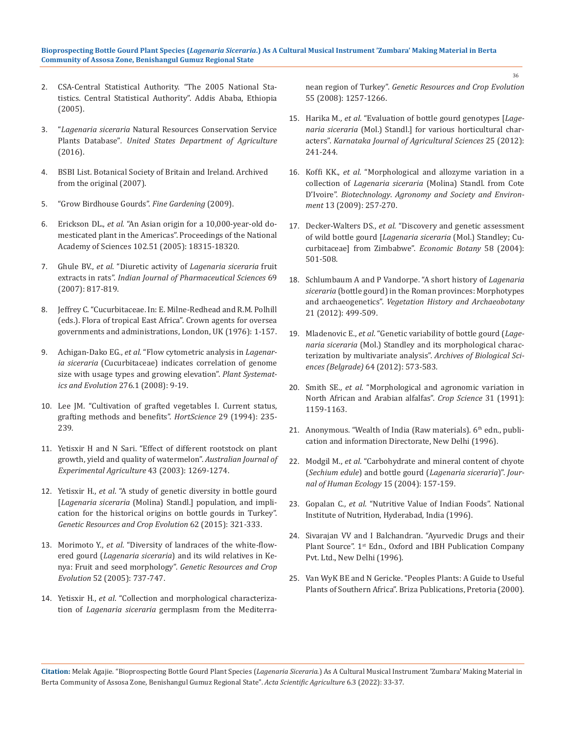#### **Bioprospecting Bottle Gourd Plant Species (***Lagenaria Siceraria***.) As A Cultural Musical Instrument 'Zumbara' Making Material in Berta Community of Assosa Zone, Benishangul Gumuz Regional State**

- 2. CSA-Central Statistical Authority. "The 2005 National Statistics. Central Statistical Authority". Addis Ababa, Ethiopia (2005).
- 3. "*[Lagenaria siceraria](https://plants.sc.egov.usda.gov/home/plantProfile?symbol=LA)* [Natural Resources Conservation Service](https://en.wikipedia.org/wiki/Natural_Resources_Conservation_Service) Plants Database"*. United States Department of Agriculture*  (2016).
- 4. [BSBI List. Botanical Society of Britain and Ireland. Archived](file:///E:/ACTA%20PDF%20Data/ASAG/ASAG-21-RW-353/1.%09BSBI%20List%20.%20Botanical%20Society%20of%20Britain%20and%20Ireland.%20Archived%20from%20the%20original%20(2007).)  [from the original \(2007\).](file:///E:/ACTA%20PDF%20Data/ASAG/ASAG-21-RW-353/1.%09BSBI%20List%20.%20Botanical%20Society%20of%20Britain%20and%20Ireland.%20Archived%20from%20the%20original%20(2007).)
- 5. ["Grow Birdhouse Gourds".](https://www.finegardening.com/article/grow-birdhouse-gourds) *Fine Gardening* (2009).
- 6. Erickson DL., *et al*[. "An Asian origin for a 10,000-year-old do](https://www.pnas.org/content/102/51/18315)[mesticated plant in the Americas". Proceedings of the National](https://www.pnas.org/content/102/51/18315)  [Academy of Sciences 102.51 \(2005\): 18315](https://www.pnas.org/content/102/51/18315)*-*18320.
- 7. Ghule BV., *et al*. "Diuretic activity of *[Lagenaria siceraria](https://www.ijpsonline.com/articles/diuretic-activity-of-lagenaria-siceraria-fruit-extracts-in-rats.html)* fruit extracts in rats". *[Indian Journal of Pharmaceutical Sciences](https://www.ijpsonline.com/articles/diuretic-activity-of-lagenaria-siceraria-fruit-extracts-in-rats.html)* 69 [\(2007\): 817](https://www.ijpsonline.com/articles/diuretic-activity-of-lagenaria-siceraria-fruit-extracts-in-rats.html)*-*819.
- 8. Jeffrey C. "Cucurbitaceae. In: E. Milne-Redhead and R.M. Polhill (eds.). Flora of tropical East Africa". Crown agents for oversea governments and administrations, London, UK (1976): 1*-*157.
- 9. Achigan-Dako EG., *et al*[. "Flow cytometric analysis in](https://www.researchgate.net/publication/225392729_Flow_cytometric_analysis_in_Lagenaria_siceraria_Cucurbitaceae_indicates_correlation_of_genome_size_with_usage_types_and_growing_elevation) *Lagenaria siceraria* [\(Cucurbitaceae\) indicates correlation of genome](https://www.researchgate.net/publication/225392729_Flow_cytometric_analysis_in_Lagenaria_siceraria_Cucurbitaceae_indicates_correlation_of_genome_size_with_usage_types_and_growing_elevation)  [size with usage types and growing elevation".](https://www.researchgate.net/publication/225392729_Flow_cytometric_analysis_in_Lagenaria_siceraria_Cucurbitaceae_indicates_correlation_of_genome_size_with_usage_types_and_growing_elevation) *Plant Systemat[ics and Evolution](https://www.researchgate.net/publication/225392729_Flow_cytometric_analysis_in_Lagenaria_siceraria_Cucurbitaceae_indicates_correlation_of_genome_size_with_usage_types_and_growing_elevation)* 276.1 (2008): 9*-*19.
- 10. [Lee JM. "Cultivation of grafted vegetables I. Current status,](https://journals.ashs.org/hortsci/view/journals/hortsci/29/4/article-p235.xml)  [grafting methods and benefits".](https://journals.ashs.org/hortsci/view/journals/hortsci/29/4/article-p235.xml) *HortScience* 29 (1994): 235*-* [239.](https://journals.ashs.org/hortsci/view/journals/hortsci/29/4/article-p235.xml)
- 11. [Yetisxir H and N Sari. "Effect of different rootstock on plant](https://www.researchgate.net/publication/248891013_Effect_of_different_rootstock_on_plant_growth_yield_and_quality_of_watermelon)  [growth, yield and quality of watermelon".](https://www.researchgate.net/publication/248891013_Effect_of_different_rootstock_on_plant_growth_yield_and_quality_of_watermelon) *Australian Journal of [Experimental Agriculture](https://www.researchgate.net/publication/248891013_Effect_of_different_rootstock_on_plant_growth_yield_and_quality_of_watermelon)* 43 (2003): 1269*-*1274.
- 12. Yetisxir H., *et al*[. "A study of genetic diversity in bottle gourd](https://www.researchgate.net/publication/272892729_A_study_of_genetic_diversity_in_bottle_gourd_Lagenaria_siceraria_Molina_Standl_population_and_implication_for_the_historical_origins_on_bottle_gourds_in_Turkey)  [*Lagenaria siceraria* [\(Molina\) Standl.\] population, and impli](https://www.researchgate.net/publication/272892729_A_study_of_genetic_diversity_in_bottle_gourd_Lagenaria_siceraria_Molina_Standl_population_and_implication_for_the_historical_origins_on_bottle_gourds_in_Turkey)[cation for the historical origins on bottle gourds in Turkey".](https://www.researchgate.net/publication/272892729_A_study_of_genetic_diversity_in_bottle_gourd_Lagenaria_siceraria_Molina_Standl_population_and_implication_for_the_historical_origins_on_bottle_gourds_in_Turkey)  *[Genetic Resources and Crop Evolution](https://www.researchgate.net/publication/272892729_A_study_of_genetic_diversity_in_bottle_gourd_Lagenaria_siceraria_Molina_Standl_population_and_implication_for_the_historical_origins_on_bottle_gourds_in_Turkey)* 62 (2015): 321*-*333.
- 13. Morimoto Y., *et al*[. "Diversity of landraces of the white-flow](https://www.researchgate.net/publication/227300463_Diversity_of_Landraces_of_the_White-flowered_Gourd_Lagenaria_siceraria_and_its_Wild_Relatives_in_Kenya_Fruit_and_Seed_Morphology)ered gourd (*Lagenaria siceraria*[\) and its wild relatives in Ke](https://www.researchgate.net/publication/227300463_Diversity_of_Landraces_of_the_White-flowered_Gourd_Lagenaria_siceraria_and_its_Wild_Relatives_in_Kenya_Fruit_and_Seed_Morphology)nya: Fruit and seed morphology". *[Genetic Resources and Crop](https://www.researchgate.net/publication/227300463_Diversity_of_Landraces_of_the_White-flowered_Gourd_Lagenaria_siceraria_and_its_Wild_Relatives_in_Kenya_Fruit_and_Seed_Morphology)  Evolution* [52 \(2005\): 737](https://www.researchgate.net/publication/227300463_Diversity_of_Landraces_of_the_White-flowered_Gourd_Lagenaria_siceraria_and_its_Wild_Relatives_in_Kenya_Fruit_and_Seed_Morphology)*-*747.
- 14. Yetisxir H., *et al*[. "Collection and morphological characteriza](https://www.researchgate.net/publication/236167390_Collection_and_morphological_characterization_of_Legenaria_siceraria_germplasm_form_the_Mediterranean_Region_of_Turkey)tion of *Lagenaria siceraria* [germplasm from the Mediterra-](https://www.researchgate.net/publication/236167390_Collection_and_morphological_characterization_of_Legenaria_siceraria_germplasm_form_the_Mediterranean_Region_of_Turkey)

nean region of Turkey". *[Genetic Resources and Crop Evolution](https://www.researchgate.net/publication/236167390_Collection_and_morphological_characterization_of_Legenaria_siceraria_germplasm_form_the_Mediterranean_Region_of_Turkey)*  [55 \(2008\): 1257](https://www.researchgate.net/publication/236167390_Collection_and_morphological_characterization_of_Legenaria_siceraria_germplasm_form_the_Mediterranean_Region_of_Turkey)*-*1266.

- 15. Harika M., *et al*[. "Evaluation of bottle gourd genotypes \[](https://www.researchgate.net/publication/277029265_Evaluation_of_bottle_gourd_genotypes_Lagenaria_siceraria_Mol_Standl_for_various_horticultural_characters)*Lagenaria siceraria* [\(Mol.\) Standl.\] for various horticultural char](https://www.researchgate.net/publication/277029265_Evaluation_of_bottle_gourd_genotypes_Lagenaria_siceraria_Mol_Standl_for_various_horticultural_characters)acters". *[Karnataka Journal of Agricultural Sciences](https://www.researchgate.net/publication/277029265_Evaluation_of_bottle_gourd_genotypes_Lagenaria_siceraria_Mol_Standl_for_various_horticultural_characters)* 25 (2012): 241*-*[244.](https://www.researchgate.net/publication/277029265_Evaluation_of_bottle_gourd_genotypes_Lagenaria_siceraria_Mol_Standl_for_various_horticultural_characters)
- 16. Koffi KK., *et al*[. "Morphological and allozyme variation in a](https://www.researchgate.net/publication/26623306_Morphological_and_allozyme_variation_in_a_collection_of_Lagenaria_siceraria_Molina_Standl_from_Cote_d%27Ivoire)  collection of *Lagenaria siceraria* [\(Molina\) Standl. from Cote](https://www.researchgate.net/publication/26623306_Morphological_and_allozyme_variation_in_a_collection_of_Lagenaria_siceraria_Molina_Standl_from_Cote_d%27Ivoire)  D'Ivoire". *Biotechnology*. *[Agronomy and Society and Environ](https://www.researchgate.net/publication/26623306_Morphological_and_allozyme_variation_in_a_collection_of_Lagenaria_siceraria_Molina_Standl_from_Cote_d%27Ivoire)ment* [13 \(2009\): 257](https://www.researchgate.net/publication/26623306_Morphological_and_allozyme_variation_in_a_collection_of_Lagenaria_siceraria_Molina_Standl_from_Cote_d%27Ivoire)*-*270.
- 17. Decker-Walters DS., *et al*[. "Discovery and genetic assessment](https://www.jstor.org/stable/4256864)  of wild bottle gourd [*[Lagenaria siceraria](https://www.jstor.org/stable/4256864)* (Mol.) Standley; Cu[curbitaceae\] from Zimbabwe".](https://www.jstor.org/stable/4256864) *Economic Botany* 58 (2004): 501*-*[508.](https://www.jstor.org/stable/4256864)
- 18. [Schlumbaum A and P Vandorpe. "A short history of](https://www.researchgate.net/publication/257397867_A_short_history_of_Lagenaria_siceraria_bottle_gourd_in_the_Roman_provinces_Morphotypes_and_archaeogenetics) *Lagenaria siceraria* [\(bottle gourd\) in the Roman provinces: Morphotypes](https://www.researchgate.net/publication/257397867_A_short_history_of_Lagenaria_siceraria_bottle_gourd_in_the_Roman_provinces_Morphotypes_and_archaeogenetics)  and archaeogenetics". *[Vegetation History and Archaeobotany](https://www.researchgate.net/publication/257397867_A_short_history_of_Lagenaria_siceraria_bottle_gourd_in_the_Roman_provinces_Morphotypes_and_archaeogenetics)*  [21 \(2012\): 499](https://www.researchgate.net/publication/257397867_A_short_history_of_Lagenaria_siceraria_bottle_gourd_in_the_Roman_provinces_Morphotypes_and_archaeogenetics)*-*509.
- 19. Mladenovic E., *et al*[. "Genetic variability of bottle gourd \(](https://www.researchgate.net/publication/266227947_Genetic_variability_of_bottle_gourd_Lagenaria_siceraria_Mol_Standley_and_its_morphological_characterization_by_multivariate_analysis)*Lagenaria siceraria* [\(Mol.\) Standley and its morphological charac](https://www.researchgate.net/publication/266227947_Genetic_variability_of_bottle_gourd_Lagenaria_siceraria_Mol_Standley_and_its_morphological_characterization_by_multivariate_analysis)[terization by multivariate analysis".](https://www.researchgate.net/publication/266227947_Genetic_variability_of_bottle_gourd_Lagenaria_siceraria_Mol_Standley_and_its_morphological_characterization_by_multivariate_analysis) *Archives of Biological Sci[ences \(Belgrade\)](https://www.researchgate.net/publication/266227947_Genetic_variability_of_bottle_gourd_Lagenaria_siceraria_Mol_Standley_and_its_morphological_characterization_by_multivariate_analysis)* 64 (2012): 573*-*583.
- 20. Smith SE., *et al*[. "Morphological and agronomic variation in](https://acsess.onlinelibrary.wiley.com/doi/abs/10.2135/cropsci1991.0011183X003100050016x)  [North African and Arabian alfalfas".](https://acsess.onlinelibrary.wiley.com/doi/abs/10.2135/cropsci1991.0011183X003100050016x) *Crop Science* 31 (1991): 1159*-*[1163.](https://acsess.onlinelibrary.wiley.com/doi/abs/10.2135/cropsci1991.0011183X003100050016x)
- 21. Anonymous. "Wealth of India (Raw materials).  $6<sup>th</sup>$  edn., publi[cation and information Directorate, New Delhi \(1996\).](https://www.scirp.org/(S(i43dyn45teexjx455qlt3d2q))/reference/ReferencesPapers.aspx?ReferenceID=957500)
- 22. Modgil M., *et al*[. "Carbohydrate and mineral content of chyote](https://www.researchgate.net/publication/286180329_Carbohydrate_and_Mineral_Content_of_Chyote_Sechium_edule_and_Bottle_Gourd_Lagenaria_Siceraria)  (*Sechium edule*) and bottle gourd (*[Lagenaria siceraria](https://www.researchgate.net/publication/286180329_Carbohydrate_and_Mineral_Content_of_Chyote_Sechium_edule_and_Bottle_Gourd_Lagenaria_Siceraria)*)". *Jour[nal of Human Ecology](https://www.researchgate.net/publication/286180329_Carbohydrate_and_Mineral_Content_of_Chyote_Sechium_edule_and_Bottle_Gourd_Lagenaria_Siceraria)* 15 (2004): 157-159.
- 23. Gopalan C., *et al*[. "Nutritive Value of Indian Foods". National](https://books.google.co.in/books/about/Nutritive_Value_of_Indian_Foods.html?id=biFBAAAAYAAJ)  [Institute of Nutrition, Hyderabad, India \(1996\).](https://books.google.co.in/books/about/Nutritive_Value_of_Indian_Foods.html?id=biFBAAAAYAAJ)
- 24. [Sivarajan VV and I Balchandran. "Ayurvedic Drugs and their](https://agris.fao.org/agris-search/search.do?recordID=US201300167625)  Plant Source". 1<sup>st</sup> Edn., Oxford and IBH Publication Company [Pvt. Ltd., New Delhi \(1996\).](https://agris.fao.org/agris-search/search.do?recordID=US201300167625)
- 25. [Van WyK BE and N Gericke. "Peoples Plants: A Guide to Useful](https://books.google.co.in/books/about/People_s_Plants.html?id=GPUfAQAAIAAJ&redir_esc=y)  [Plants of Southern Africa". Briza Publications, Pretoria \(2000\).](https://books.google.co.in/books/about/People_s_Plants.html?id=GPUfAQAAIAAJ&redir_esc=y)

**Citation:** Melak Agajie*.* "Bioprospecting Bottle Gourd Plant Species (*Lagenaria Siceraria*.) As A Cultural Musical Instrument 'Zumbara' Making Material in Berta Community of Assosa Zone, Benishangul Gumuz Regional State". *Acta Scientific Agriculture* 6.3 (2022): 33-37.

36